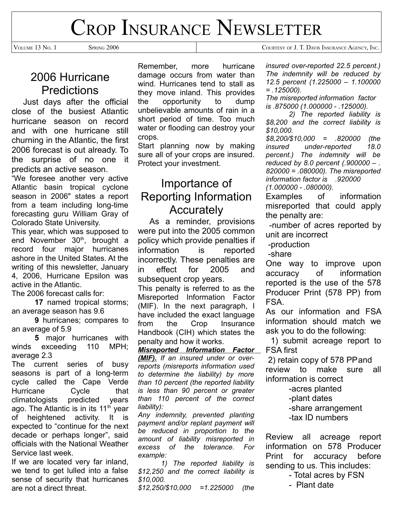CROP INSURANCE NEWSLETTER

### 2006 Hurricane **Predictions**

Just days after the official close of the busiest Atlantic hurricane season on record and with one hurricane still churning in the Atlantic, the first 2006 forecast is out already. To the surprise of no one it predicts an active season.

"We foresee another very active Atlantic basin tropical cyclone season in 2006" states a report from a team including long-time forecasting guru William Gray of Colorado State University.

This year, which was supposed to end November 30<sup>th</sup>, brought a record four major hurricanes ashore in the United States. At the writing of this newsletter, January 4, 2006, Hurricane Epsilon was active in the Atlantic.

The 2006 forecast calls for:

**17** named tropical storms; an average season has 9.6

**9** hurricanes; compares to an average of 5.9

**5** major hurricanes with winds exceeding 110 MPH; average 2.3

The current series of busy seasons is part of a long-term cycle called the Cape Verde Hurricane Cycle that climatologists predicted years ago. The Atlantic is in its  $11<sup>th</sup>$  year of heightened activity. It is expected to "continue for the next decade or perhaps longer", said officials with the National Weather Service last week.

If we are located very far inland, we tend to get lulled into a false sense of security that hurricanes are not a direct threat.

Remember, more hurricane damage occurs from water than wind. Hurricanes tend to stall as they move inland. This provides the opportunity to dump unbelievable amounts of rain in a short period of time. Too much water or flooding can destroy your crops.

Start planning now by making sure all of your crops are insured. Protect your investment.

### Importance of Reporting Information **Accurately**

As a reminder, provisions were put into the 2005 common policy which provide penalties if information is reported incorrectly. These penalties are in effect for 2005 and subsequent crop years.

This penalty is referred to as the Misreported Information Factor (MIF). In the next paragraph, I have included the exact language from the Crop Insurance Handbook (CIH) which states the penalty and how it works.

*Misreported Information Factor (MIF). If an insured under or overreports (misreports information used to determine the liability) by more than 10 percent (the reported liability is less than 90 percent or greater than 110 percent of the correct liability):*

*Any indemnity, prevented planting payment and/or replant payment will be reduced in proportion to the amount of liability misreported in excess of the tolerance. For example:*

*1) The reported liability is \$12,250 and the correct liability is \$10,000.*

*\$12,250/\$10,000 =1.225000 (the*

*insured over-reported 22.5 percent.) The indemnity will be reduced by 12.5 percent (1.225000 – 1.100000 = .125000).*

*The misreported information factor is .875000 (1.000000 - .125000).*

*2) The reported liability is \$8,200 and the correct liability is \$10,000.*

*\$8,200/\$10,000 = .820000 (the insured under-reported 18.0 percent.) The indemnity will be reduced by 8.0 percent (.900000 – . 820000 = .080000). The misreported information factor is .920000 (1.000000 - .080000).*

Examples of information misreported that could apply the penalty are:

 -number of acres reported by unit are incorrect

-production

-share

One way to improve upon accuracy of information reported is the use of the 578 Producer Print (578 PP) from FSA.

As our information and FSA information should match we ask you to do the following:

 1) submit acreage report to FSA first

2) retain copy of 578 PPand

review to make sure all information is correct

-acres planted

-plant dates

-share arrangement

-tax ID numbers

Review all acreage report information on 578 Producer Print for accuracy before sending to us. This includes:

- Total acres by FSN

- Plant date

VOLUME 13 NO. 1 SPRING 2006 COURTESY OF J. T. DAVIS INSURANCE AGENCY, INC.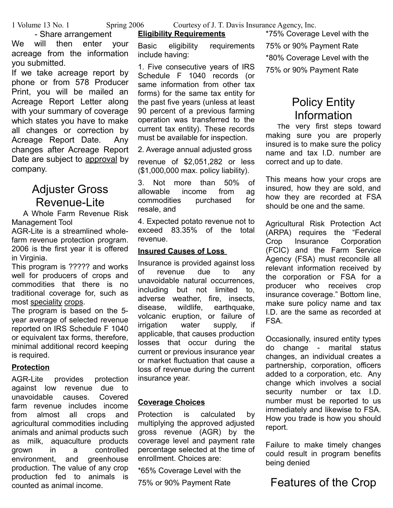- Share arrangement We will then enter your acreage from the information you submitted.

If we take acreage report by phone or from 578 Producer Print, you will be mailed an Acreage Report Letter along with your summary of coverage which states you have to make all changes or correction by Acreage Report Date. Any changes after Acreage Report Date are subject to approval by company.

### Adjuster Gross Revenue-Lite

A Whole Farm Revenue Risk Management Tool

AGR-Lite is a streamlined wholefarm revenue protection program. 2006 is the first year it is offered in Virginia.

This program is ????? and works well for producers of crops and commodities that there is no traditional coverage for, such as most speciality crops.

The program is based on the 5 year average of selected revenue reported on IRS Schedule F 1040 or equivalent tax forms, therefore, minimal additional record keeping is required.

### **Protection**

AGR-Lite provides protection against low revenue due to unavoidable causes. Covered farm revenue includes income from almost all crops and agricultural commodities including animals and animal products such as milk, aquaculture products grown in a controlled environment, and greenhouse production. The value of any crop production fed to animals is counted as animal income.

1 Volume 13 No. 1 Spring 2006 Courtesy of J. T. Davis Insurance Agency, Inc.

#### **Eligibility Requirements**

Basic eligibility requirements include having:

1. Five consecutive years of IRS Schedule F 1040 records (or same information from other tax forms) for the same tax entity for the past five years (unless at least 90 percent of a previous farming operation was transferred to the current tax entity). These records must be available for inspection.

2. Average annual adjusted gross

revenue of \$2,051,282 or less (\$1,000,000 max. policy liability).

3. Not more than 50% of allowable income from ag commodities purchased for resale, and

4. Expected potato revenue not to exceed 83.35% of the total revenue.

#### **Insured Causes of Loss**

Insurance is provided against loss of revenue due to any unavoidable natural occurrences, including but not limited to, adverse weather, fire, insects, disease, wildlife, earthquake, volcanic eruption, or failure of irrigation water supply, if applicable, that causes production losses that occur during the current or previous insurance year or market fluctuation that cause a loss of revenue during the current insurance year.

### **Coverage Choices**

Protection is calculated by multiplying the approved adjusted gross revenue (AGR) by the coverage level and payment rate percentage selected at the time of enrollment. Choices are:

\*65% Coverage Level with the

75% or 90% Payment Rate

\*75% Coverage Level with the 75% or 90% Payment Rate \*80% Coverage Level with the 75% or 90% Payment Rate

### Policy Entity Information

The very first steps toward making sure you are properly insured is to make sure the policy name and tax I.D. number are correct and up to date.

This means how your crops are insured, how they are sold, and how they are recorded at FSA should be one and the same.

Agricultural Risk Protection Act (ARPA) requires the "Federal Crop Insurance Corporation (FCIC) and the Farm Service Agency (FSA) must reconcile all relevant information received by the corporation or FSA for a producer who receives crop insurance coverage." Bottom line, make sure policy name and tax I.D. are the same as recorded at FSA.

Occasionally, insured entity types do change - marital status changes, an individual creates a partnership, corporation, officers added to a corporation, etc. Any change which involves a social security number or tax I.D. number must be reported to us immediately and likewise to FSA. How you trade is how you should report.

Failure to make timely changes could result in program benefits being denied

## Features of the Crop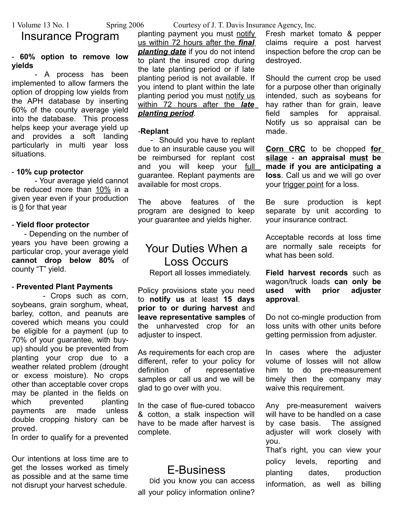### Insurance Program

#### - **60% option to remove low yields**

- A process has been implemented to allow farmers the option of dropping low yields from the APH database by inserting 60% of the county average yield into the database. This process helps keep your average yield up and provides a soft landing particularly in multi year loss situations.

#### - **10% cup protector**

- Your average yield cannot be reduced more than 10% in a given year even if your production is  $Q$  for that year

#### - **Yield floor protector**

 - Depending on the number of years you have been growing a particular crop, your average yield **cannot drop below 80%** of county "T" yield.

#### - **Prevented Plant Payments**

 - Crops such as corn, soybeans, grain sorghum, wheat, barley, cotton, and peanuts are covered which means you could be eligible for a payment (up to 70% of your guarantee, with buyup) should you be prevented from planting your crop due to a weather related problem (drought or excess moisture). No crops other than acceptable cover crops may be planted in the fields on which prevented planting payments are made unless double cropping history can be proved.

In order to qualify for a prevented

Our intentions at loss time are to get the losses worked as timely as possible and at the same time not disrupt your harvest schedule.

1 Volume 13 No. 1 Spring 2006 Courtesy of J. T. Davis Insurance Agency, Inc.

planting payment you must notify us within 72 hours after the *final planting date* if you do not intend to plant the insured crop during the late planting period or if late planting period is not available. If you intend to plant within the late planting period you must notify us within 72 hours after the *late planting period*.

#### -**Replant**

 - Should you have to replant due to an insurable cause you will be reimbursed for replant cost and you will keep your full guarantee. Replant payments are available for most crops.

The above features of the program are designed to keep your guarantee and yields higher.

### Your Duties When a Loss Occurs

Report all losses immediately.

Policy provisions state you need to **notify us** at least **15 days prior to or during harvest** and **leave representative samples** of the unharvested crop for an adjuster to inspect.

As requirements for each crop are different, refer to your policy for definition of representative samples or call us and we will be glad to go over with you.

In the case of flue-cured tobacco & cotton, a stalk inspection will have to be made after harvest is complete.

### E-Business

Did you know you can access all your policy information online?

Fresh market tomato & pepper claims require a post harvest inspection before the crop can be destroyed.

Should the current crop be used for a purpose other than originally intended, such as soybeans for hay rather than for grain, leave field samples for appraisal. Notify us so appraisal can be made.

**Corn CRC** to be chopped **for silage** - **an appraisal must be made if you are anticipating a loss**. Call us and we will go over your trigger point for a loss.

Be sure production is kept separate by unit according to your insurance contract.

Acceptable records at loss time are normally sale receipts for what has been sold.

**Field harvest records** such as wagon/truck loads **can only be used with prior adjuster approval**.

Do not co-mingle production from loss units with other units before getting permission from adjuster.

In cases where the adjuster volume of losses will not allow him to do pre-measurement timely then the company may waive this requirement.

Any pre-measurement waivers will have to be handled on a case by case basis. The assigned adjuster will work closely with you.

That's right, you can view your policy levels, reporting and planting dates, production information, as well as billing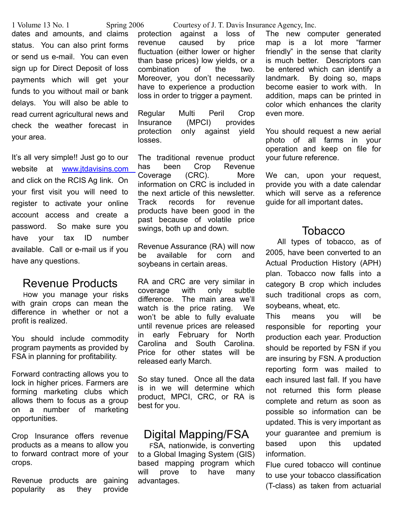1 Volume 13 No. 1 Spring 2006 Courtesy of J. T. Davis Insurance Agency, Inc. dates and amounts, and claims status. You can also print forms or send us e-mail. You can even sign up for Direct Deposit of loss payments which will get your funds to you without mail or bank delays. You will also be able to read current agricultural news and check the weather forecast in your area.

It's all very simple!! Just go to our website at www.jtdavisins.com and click on the RCIS Ag link. On your first visit you will need to register to activate your online account access and create a password. So make sure you have your tax ID number available. Call or e-mail us if you have any questions.

### Revenue Products

How you manage your risks with grain crops can mean the difference in whether or not a profit is realized.

You should include commodity program payments as provided by FSA in planning for profitability.

Forward contracting allows you to lock in higher prices. Farmers are forming marketing clubs which allows them to focus as a group on a number of marketing opportunities.

Crop Insurance offers revenue products as a means to allow you to forward contract more of your crops.

Revenue products are gaining popularity as they provide

protection against a loss of revenue caused by price fluctuation (either lower or higher than base prices) low yields, or a combination of the two. Moreover, you don't necessarily have to experience a production loss in order to trigger a payment.

Regular Multi Peril Crop Insurance (MPCI) provides protection only against yield losses.

The traditional revenue product has been Crop Revenue Coverage (CRC). More information on CRC is included in the next article of this newsletter. Track records for revenue products have been good in the past because of volatile price swings, both up and down.

Revenue Assurance (RA) will now be available for corn and soybeans in certain areas.

RA and CRC are very similar in coverage with only subtle difference. The main area we'll watch is the price rating. We won't be able to fully evaluate until revenue prices are released in early February for North Carolina and South Carolina. Price for other states will be released early March.

So stay tuned. Once all the data is in we will determine which product, MPCI, CRC, or RA is best for you.

### Digital Mapping/FSA

FSA, nationwide, is converting to a Global Imaging System (GIS) based mapping program which will prove to have many advantages.

The new computer generated map is a lot more "farmer friendly" in the sense that clarity is much better. Descriptors can be entered which can identify a landmark. By doing so, maps become easier to work with. In addition, maps can be printed in color which enhances the clarity even more.

You should request a new aerial photo of all farms in your operation and keep on file for your future reference.

We can, upon your request, provide you with a date calendar which will serve as a reference guide for all important dates**.**

### Tobacco

All types of tobacco, as of 2005, have been converted to an Actual Production History (APH) plan. Tobacco now falls into a category B crop which includes such traditional crops as corn, soybeans, wheat, etc.

This means you will be responsible for reporting your production each year. Production should be reported by FSN if you are insuring by FSN. A production reporting form was mailed to each insured last fall. If you have not returned this form please complete and return as soon as possible so information can be updated. This is very important as your guarantee and premium is based upon this updated information.

Flue cured tobacco will continue to use your tobacco classification (T-class) as taken from actuarial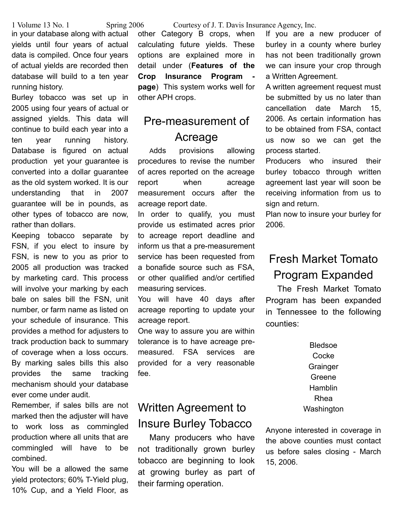in your database along with actual yields until four years of actual data is compiled. Once four years of actual yields are recorded then database will build to a ten year running history.

Burley tobacco was set up in 2005 using four years of actual or assigned yields. This data will continue to build each year into a ten year running history. Database is figured on actual production yet your guarantee is converted into a dollar guarantee as the old system worked. It is our understanding that in 2007 guarantee will be in pounds, as other types of tobacco are now, rather than dollars.

Keeping tobacco separate by FSN, if you elect to insure by FSN, is new to you as prior to 2005 all production was tracked by marketing card. This process will involve your marking by each bale on sales bill the FSN, unit number, or farm name as listed on your schedule of insurance. This provides a method for adjusters to track production back to summary of coverage when a loss occurs. By marking sales bills this also provides the same tracking mechanism should your database ever come under audit.

Remember, if sales bills are not marked then the adjuster will have to work loss as commingled production where all units that are commingled will have to be combined.

You will be a allowed the same yield protectors; 60% T-Yield plug, 10% Cup, and a Yield Floor, as

1 Volume 13 No. 1 Spring 2006 Courtesy of J. T. Davis Insurance Agency, Inc.

other Category B crops, when calculating future yields. These options are explained more in detail under (**Features of the Crop Insurance Program page**) This system works well for other APH crops.

## Pre-measurement of Acreage

Adds provisions allowing procedures to revise the number of acres reported on the acreage report when acreage measurement occurs after the acreage report date.

In order to qualify, you must provide us estimated acres prior to acreage report deadline and inform us that a pre-measurement service has been requested from a bonafide source such as FSA, or other qualified and/or certified measuring services.

You will have 40 days after acreage reporting to update your acreage report.

One way to assure you are within tolerance is to have acreage premeasured. FSA services are provided for a very reasonable fee.

### Written Agreement to Insure Burley Tobacco

Many producers who have not traditionally grown burley tobacco are beginning to look at growing burley as part of their farming operation.

If you are a new producer of burley in a county where burley has not been traditionally grown we can insure your crop through a Written Agreement.

A written agreement request must be submitted by us no later than cancellation date March 15, 2006. As certain information has to be obtained from FSA, contact us now so we can get the process started.

Producers who insured their burley tobacco through written agreement last year will soon be receiving information from us to sign and return.

Plan now to insure your burley for 2006.

## Fresh Market Tomato Program Expanded

The Fresh Market Tomato Program has been expanded in Tennessee to the following counties:

> Bledsoe **Cocke** Grainger Greene Hamblin Rhea **Washington**

Anyone interested in coverage in the above counties must contact us before sales closing - March 15, 2006.